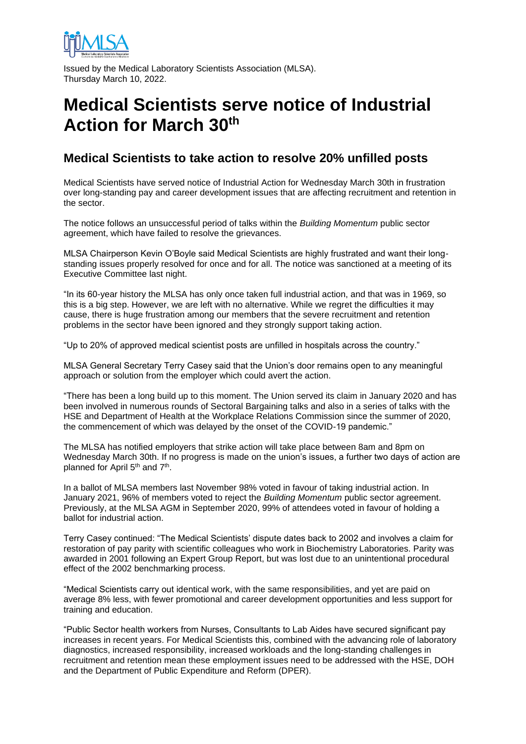

Issued by the Medical Laboratory Scientists Association (MLSA). Thursday March 10, 2022.

## **Medical Scientists serve notice of Industrial Action for March 30th**

## **Medical Scientists to take action to resolve 20% unfilled posts**

Medical Scientists have served notice of Industrial Action for Wednesday March 30th in frustration over long-standing pay and career development issues that are affecting recruitment and retention in the sector.

The notice follows an unsuccessful period of talks within the *Building Momentum* public sector agreement, which have failed to resolve the grievances.

MLSA Chairperson Kevin O'Boyle said Medical Scientists are highly frustrated and want their longstanding issues properly resolved for once and for all. The notice was sanctioned at a meeting of its Executive Committee last night.

"In its 60-year history the MLSA has only once taken full industrial action, and that was in 1969, so this is a big step. However, we are left with no alternative. While we regret the difficulties it may cause, there is huge frustration among our members that the severe recruitment and retention problems in the sector have been ignored and they strongly support taking action.

"Up to 20% of approved medical scientist posts are unfilled in hospitals across the country."

MLSA General Secretary Terry Casey said that the Union's door remains open to any meaningful approach or solution from the employer which could avert the action.

"There has been a long build up to this moment. The Union served its claim in January 2020 and has been involved in numerous rounds of Sectoral Bargaining talks and also in a series of talks with the HSE and Department of Health at the Workplace Relations Commission since the summer of 2020, the commencement of which was delayed by the onset of the COVID-19 pandemic."

The MLSA has notified employers that strike action will take place between 8am and 8pm on Wednesday March 30th. If no progress is made on the union's issues, a further two days of action are planned for April 5<sup>th</sup> and 7<sup>th</sup>.

In a ballot of MLSA members last November 98% voted in favour of taking industrial action. In January 2021, 96% of members voted to reject the *Building Momentum* public sector agreement. Previously, at the MLSA AGM in September 2020, 99% of attendees voted in favour of holding a ballot for industrial action.

Terry Casey continued: "The Medical Scientists' dispute dates back to 2002 and involves a claim for restoration of pay parity with scientific colleagues who work in Biochemistry Laboratories. Parity was awarded in 2001 following an Expert Group Report, but was lost due to an unintentional procedural effect of the 2002 benchmarking process.

"Medical Scientists carry out identical work, with the same responsibilities, and yet are paid on average 8% less, with fewer promotional and career development opportunities and less support for training and education.

"Public Sector health workers from Nurses, Consultants to Lab Aides have secured significant pay increases in recent years. For Medical Scientists this, combined with the advancing role of laboratory diagnostics, increased responsibility, increased workloads and the long-standing challenges in recruitment and retention mean these employment issues need to be addressed with the HSE, DOH and the Department of Public Expenditure and Reform (DPER).